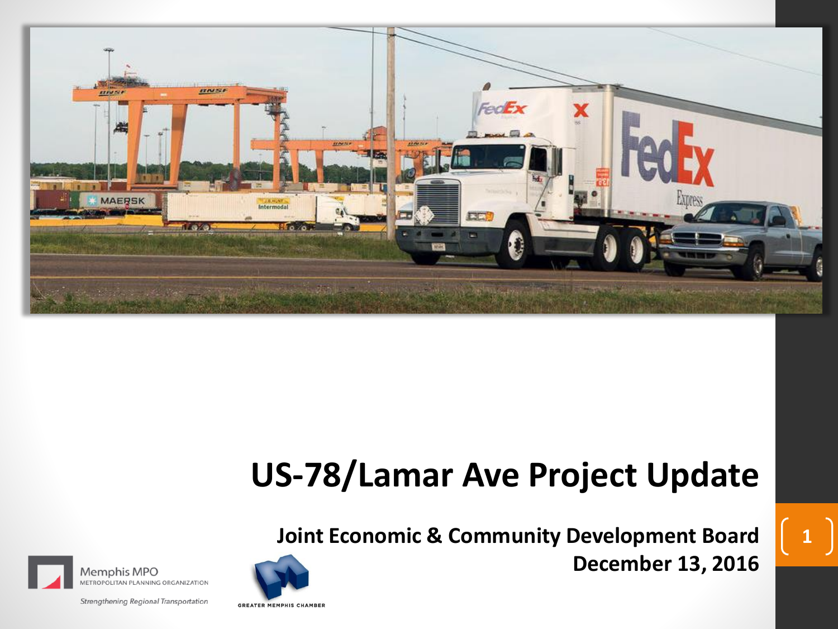

# **US-78/Lamar Ave Project Update**

**Joint Economic & Community Development Board December 13, 2016**

**1**



Strengthening Regional Transportation

**METROPOLITAN PLANNING ORGANIZATION** 

Memphis MPO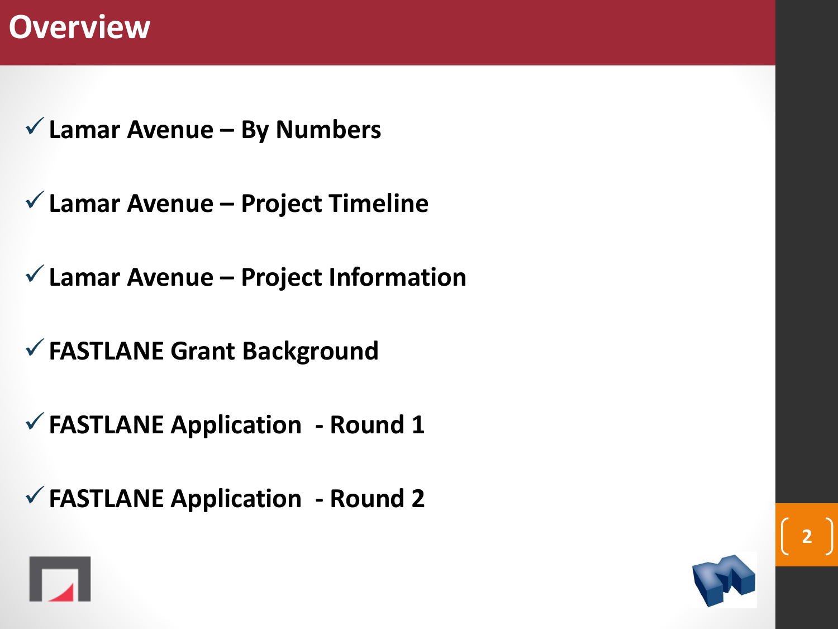## **Overview**

- ✓**Lamar Avenue – By Numbers**
- ✓**Lamar Avenue – Project Timeline**
- ✓**Lamar Avenue – Project Information**
- ✓**FASTLANE Grant Background**
- ✓**FASTLANE Application - Round 1**
- ✓**FASTLANE Application - Round 2**



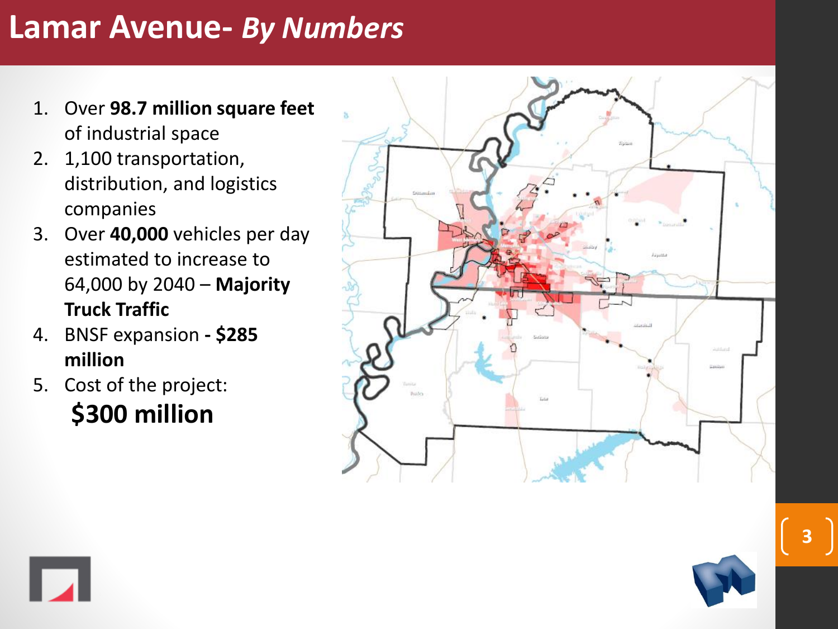## **Lamar Avenue -** *By Numbers*

- 1. Over **98.7 million square feet**  of industrial space
- 2. 1,100 transportation, distribution, and logistics companies
- 3. Over **40,000** vehicles per day estimated to increase to 64,000 by 2040 – **Majority Truck Traffic**
- 4. BNSF expansion **- \$285 million**
- 5. Cost of the project: **\$300 million**





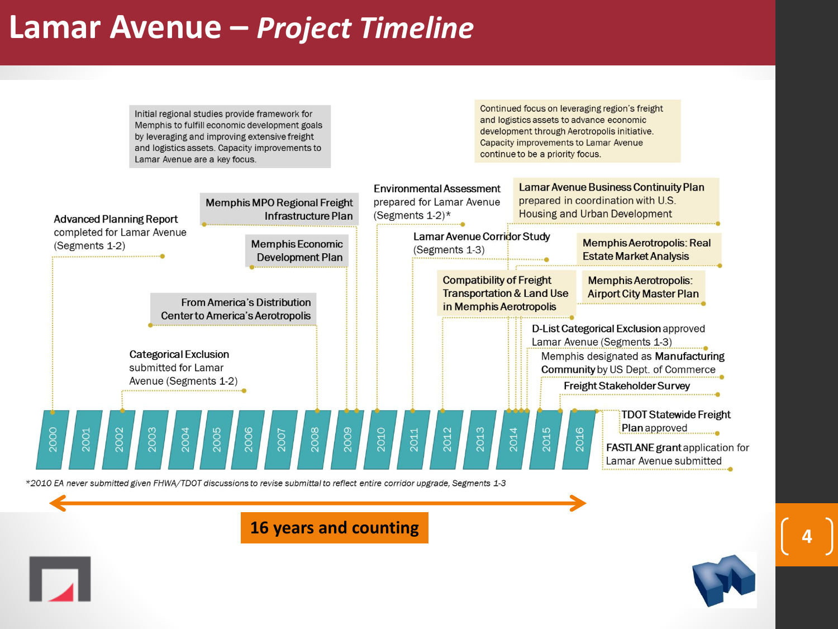## **Lamar Avenue –** *Project Timeline*

Initial regional studies provide framework for Memphis to fulfill economic development goals by leveraging and improving extensive freight and logistics assets. Capacity improvements to Lamar Avenue are a key focus.

Continued focus on leveraging region's freight and logistics assets to advance economic development through Aerotropolis initiative. **Capacity improvements to Lamar Avenue** continue to be a priority focus.

**4**



\*2010 EA never submitted given FHWA/TDOT discussions to revise submittal to reflect entire corridor upgrade, Segments 1-3

#### **16 years and counting**

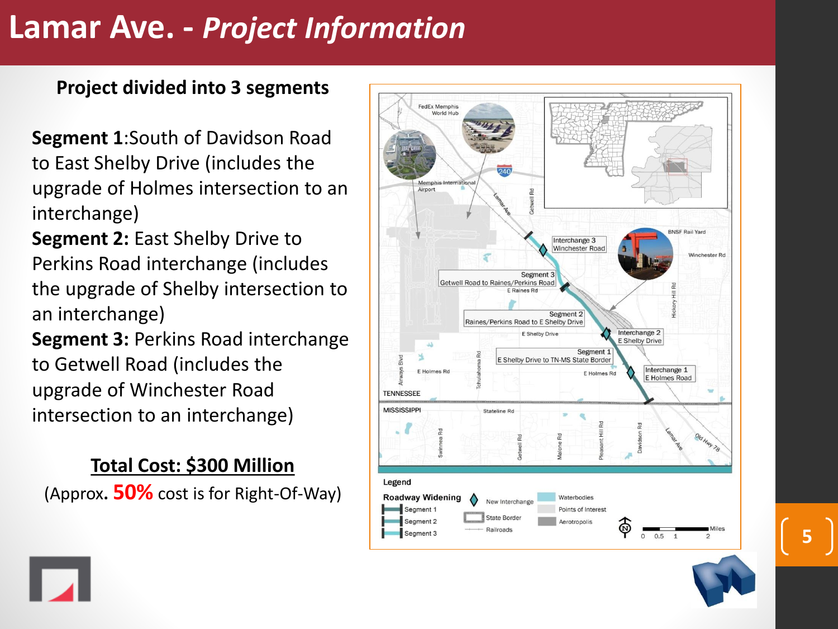## **Lamar Ave. -** *Project Information*

### **Project divided into 3 segments**

**Segment 1**:South of Davidson Road to East Shelby Drive (includes the upgrade of Holmes intersection to an interchange)

**Segment 2:** East Shelby Drive to Perkins Road interchange (includes the upgrade of Shelby intersection to an interchange)

**Segment 3:** Perkins Road interchange to Getwell Road (includes the upgrade of Winchester Road intersection to an interchange)

## **Total Cost: \$300 Million**

(Approx**. 50%** cost is for Right -Of -Way)



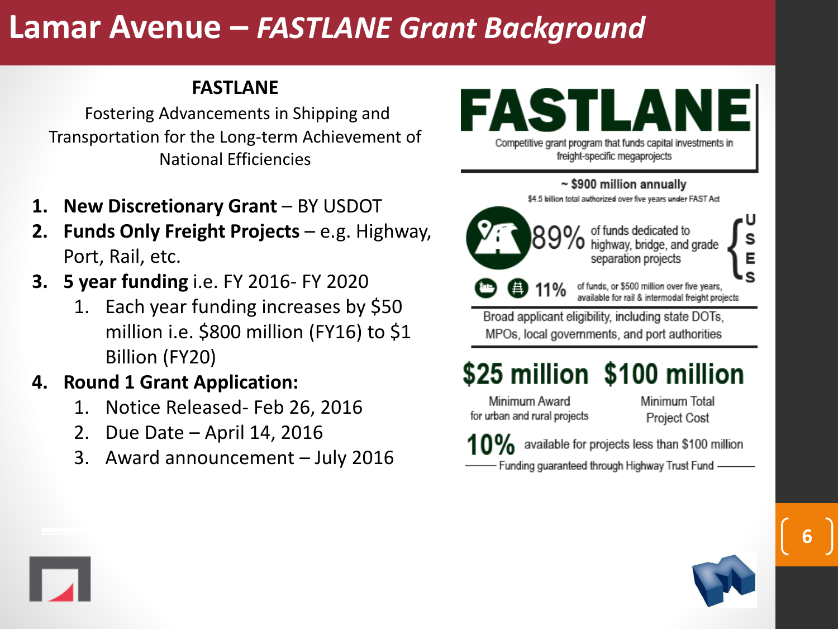## **Lamar Avenue –** *FASTLANE Grant Background*

#### **FASTLANE**

Fostering Advancements in Shipping and Transportation for the Long-term Achievement of National Efficiencies

- **1. New Discretionary Grant** BY USDOT
- **2. Funds Only Freight Projects** e.g. Highway, Port, Rail, etc.
- **3. 5 year funding** i.e. FY 2016- FY 2020
	- 1. Each year funding increases by \$50 million i.e. \$800 million (FY16) to \$1 Billion (FY20)

#### **4. Round 1 Grant Application:**

- 1. Notice Released- Feb 26, 2016
- 2. Due Date April 14, 2016
- 3. Award announcement July 2016

# FASTLA

Competitive grant program that funds capital investments in freight-specific megaprojects

 $\sim$  \$900 million annually

\$4.5 billion total authorized over five years under FAST Act



89% of funds dedicated to highway, bridge, and grade separation projects

> of funds, or \$500 million over five years, available for rail & intermodal freight projects

Broad applicant eligibility, including state DOTs, MPOs, local governments, and port authorities

## \$25 million \$100 million

Minimum Award for urban and rural projects Minimum Total **Project Cost** 

 $10\%$  available for projects less than \$100 million

Funding guaranteed through Highway Trust Fund -



E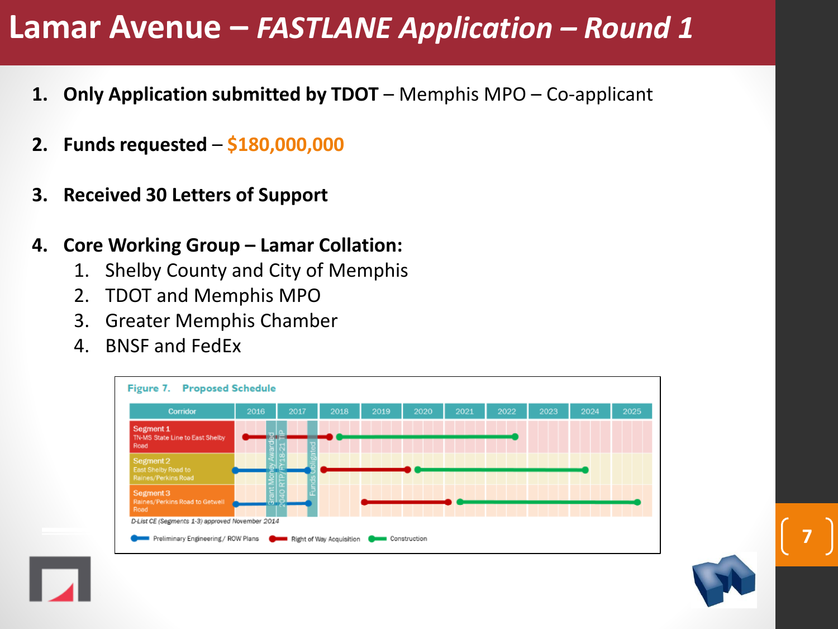## **Lamar Avenue –** *FASTLANE Application – Round 1*

- **1. Only Application submitted by TDOT** Memphis MPO Co-applicant
- **2. Funds requested \$180,000,000**
- **3. Received 30 Letters of Support**
- **4. Core Working Group – Lamar Collation:**
	- 1. Shelby County and City of Memphis
	- 2. TDOT and Memphis MPO
	- 3. Greater Memphis Chamber
	- 4. BNSF and FedEx



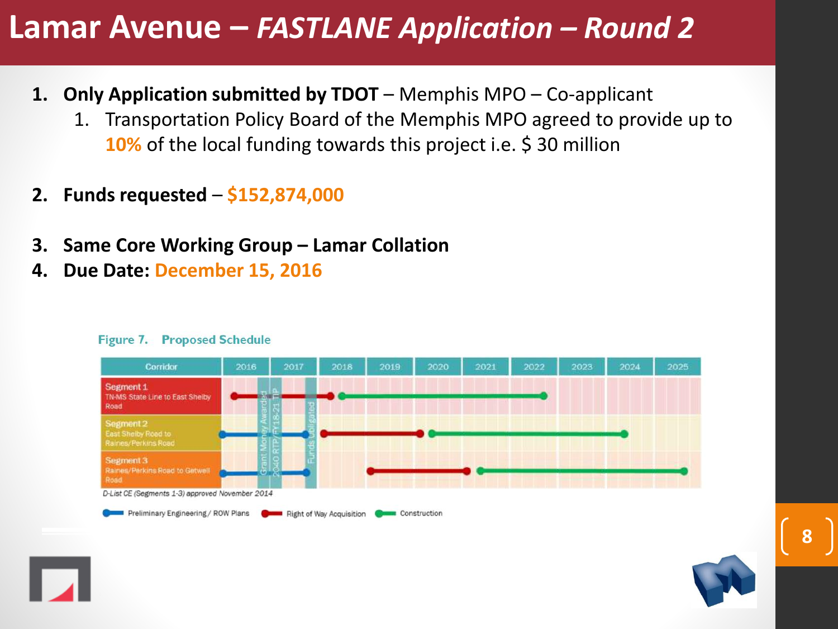## **Lamar Avenue –** *FASTLANE Application – Round 2*

- **1. Only Application submitted by TDOT** Memphis MPO Co-applicant
	- 1. Transportation Policy Board of the Memphis MPO agreed to provide up to **10%** of the local funding towards this project i.e. \$30 million
- **2. Funds requested \$152,874,000**
- **3. Same Core Working Group – Lamar Collation**
- **4. Due Date: December 15, 2016**



#### **Figure 7. Proposed Schedule**